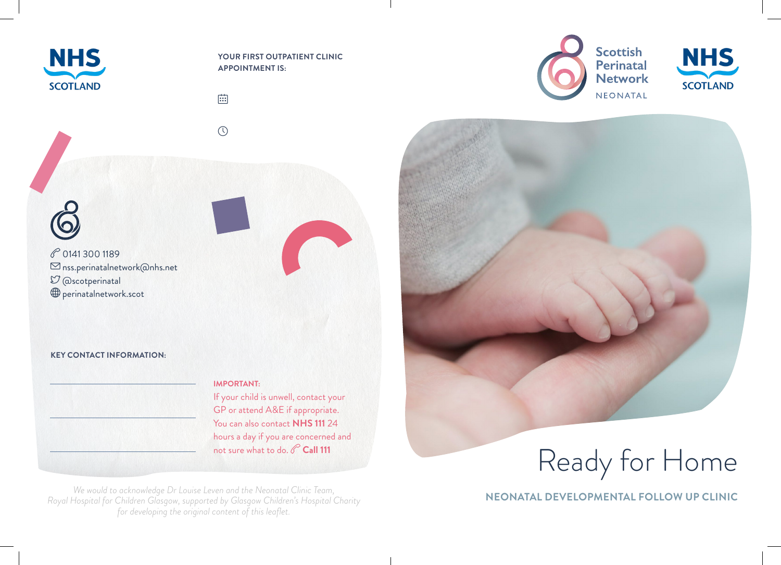

 $6$ 

**YOUR FIRST OUTPATIENT CLINIC APPOINTMENT IS:**

曲



P 0141 300 1189  $\boxdot$  nss.perinatalnetwork@nhs.net  $\mathfrak{O}$  @scotperinatal perinatalnetwork.scot

#### **KEY CONTACT INFORMATION:**

#### **IMPORTANT:**

If your child is unwell, contact your GP or attend A&E if appropriate. You can also contact **NHS 111** 24 hours a day if you are concerned and not sure what to do. **Call 111** 

*We would to acknowledge Dr Louise Leven and the Neonatal Clinic Team, Royal Hospital for Children Glasgow, supported by Glasgow Children's Hospital Charity for developing the original content of this leaflet.*



**NHS SCOTLAND** 



Ready for Home

**NEONATAL DEVELOPMENTAL FOLLOW UP CLINIC**